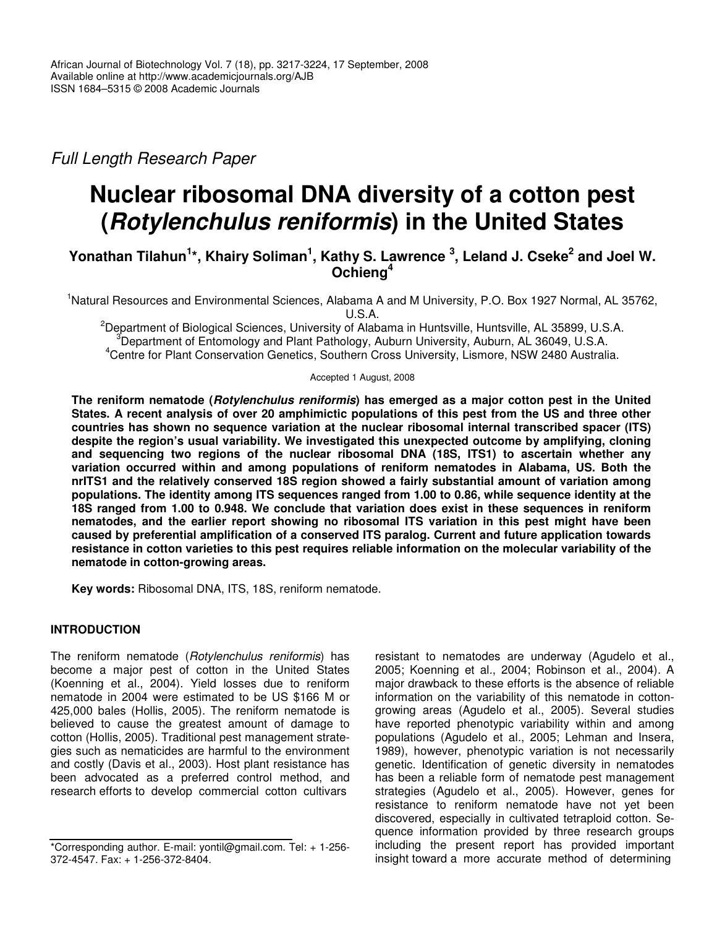*Full Length Research Paper*

# **Nuclear ribosomal DNA diversity of a cotton pest (***Rotylenchulus reniformis***) in the United States**

## Yonathan Tilahun<sup>1\*</sup>, Khairy Soliman<sup>1</sup>, Kathy S. Lawrence <sup>3</sup>, Leland J. Cseke<sup>2</sup> and Joel W. **Ochieng 4**

<sup>1</sup>Natural Resources and Environmental Sciences, Alabama A and M University, P.O. Box 1927 Normal, AL 35762, U.S.A.

<sup>2</sup>Department of Biological Sciences, University of Alabama in Huntsville, Huntsville, AL 35899, U.S.A.  $3$ Department of Entomology and Plant Pathology, Auburn University, Auburn, AL 36049, U.S.A. <sup>4</sup>Centre for Plant Conservation Genetics, Southern Cross University, Lismore, NSW 2480 Australia.

Accepted 1 August, 2008

**The reniform nematode (***Rotylenchulus reniformis***) has emerged as a major cotton pest in the United** States. A recent analysis of over 20 amphimictic populations of this pest from the US and three other **countries has shown no sequence variation at the nuclear ribosomal internal transcribed spacer (ITS) despite the region's usual variability. We investigated this unexpected outcome by amplifying, cloning and sequencing two regions of the nuclear ribosomal DNA (18S, ITS1) to ascertain whether any variation occurred within and among populations of reniform nematodes in Alabama, US. Both the nrITS1 and the relatively conserved 18S region showed a fairly substantial amount of variation among populations. The identity among ITS sequences ranged from 1.00 to 0.86, while sequence identity at the 18S ranged from 1.00 to 0.948. We conclude that variation does exist in these sequences in reniform nematodes, and the earlier report showing no ribosomal ITS variation in this pest might have been caused by preferential amplification of a conserved ITS paralog. Current and future application towards resistance in cotton varieties to this pest requires reliable information on the molecular variability of the nematode in cotton-growing areas.**

**Key words:** Ribosomal DNA, ITS, 18S, reniform nematode.

## **INTRODUCTION**

The reniform nematode (*Rotylenchulus reniformis*) has become a major pest of cotton in the United States (Koenning et al*.*, 2004). Yield losses due to reniform nematode in 2004 were estimated to be US \$166 M or 425,000 bales (Hollis, 2005). The reniform nematode is believed to cause the greatest amount of damage to cotton (Hollis, 2005). Traditional pest management strategies such as nematicides are harmful to the environment and costly (Davis et al*.*, 2003). Host plant resistance has been advocated as a preferred control method, and research efforts to develop commercial cotton cultivars

resistant to nematodes are underway (Agudelo et al*.*, 2005; Koenning et al*.*, 2004; Robinson et al*.*, 2004). A major drawback to these efforts is the absence of reliable information on the variability of this nematode in cottongrowing areas (Agudelo et al*.*, 2005). Several studies have reported phenotypic variability within and among populations (Agudelo et al*.*, 2005; Lehman and Insera, 1989), however, phenotypic variation is not necessarily genetic. Identification of genetic diversity in nematodes has been a reliable form of nematode pest management strategies (Agudelo et al*.*, 2005). However, genes for resistance to reniform nematode have not yet been discovered, especially in cultivated tetraploid cotton. Sequence information provided by three research groups including the present report has provided important insight toward a more accurate method of determining

<sup>\*</sup>Corresponding author. E-mail: yontil@gmail.com. Tel: + 1-256- 372-4547. Fax: + 1-256-372-8404.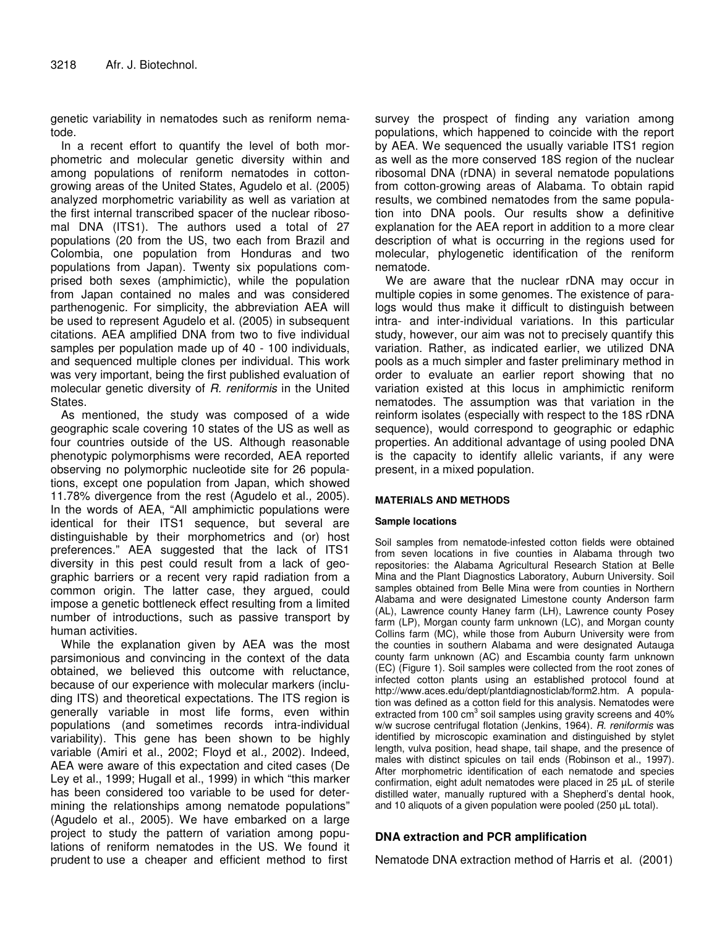genetic variability in nematodes such as reniform nematode.

In a recent effort to quantify the level of both morphometric and molecular genetic diversity within and among populations of reniform nematodes in cottongrowing areas of the United States, Agudelo et al*.* (2005) analyzed morphometric variability as well as variation at the first internal transcribed spacer of the nuclear ribosomal DNA (ITS1). The authors used a total of 27 populations (20 from the US, two each from Brazil and Colombia, one population from Honduras and two populations from Japan). Twenty six populations comprised both sexes (amphimictic), while the population from Japan contained no males and was considered parthenogenic. For simplicity, the abbreviation AEA will be used to represent Agudelo et al*.* (2005) in subsequent citations. AEA amplified DNA from two to five individual samples per population made up of 40 - 100 individuals, and sequenced multiple clones per individual. This work was very important, being the first published evaluation of molecular genetic diversity of *R. reniformis* in the United States.

As mentioned, the study was composed of a wide geographic scale covering 10 states of the US as well as four countries outside of the US. Although reasonable phenotypic polymorphisms were recorded, AEA reported observing no polymorphic nucleotide site for 26 populations, except one population from Japan, which showed 11.78% divergence from the rest (Agudelo et al*.,* 2005). In the words of AEA, "All amphimictic populations were identical for their ITS1 sequence, but several are distinguishable by their morphometrics and (or) host preferences." AEA suggested that the lack of ITS1 diversity in this pest could result from a lack of geographic barriers or a recent very rapid radiation from a common origin. The latter case, they argued, could impose a genetic bottleneck effect resulting from a limited number of introductions, such as passive transport by human activities.

While the explanation given by AEA was the most parsimonious and convincing in the context of the data obtained, we believed this outcome with reluctance, because of our experience with molecular markers (including ITS) and theoretical expectations. The ITS region is generally variable in most life forms, even within populations (and sometimes records intra-individual variability). This gene has been shown to be highly variable (Amiri et al*.*, 2002; Floyd et al*.,* 2002). Indeed, AEA were aware of this expectation and cited cases (De Ley et al*.*, 1999; Hugall et al*.*, 1999) in which "this marker has been considered too variable to be used for determining the relationships among nematode populations" (Agudelo et al*.*, 2005). We have embarked on a large project to study the pattern of variation among populations of reniform nematodes in the US. We found it prudent to use a cheaper and efficient method to first

survey the prospect of finding any variation among populations, which happened to coincide with the report by AEA. We sequenced the usually variable ITS1 region as well as the more conserved 18S region of the nuclear ribosomal DNA (rDNA) in several nematode populations from cotton-growing areas of Alabama. To obtain rapid results, we combined nematodes from the same population into DNA pools. Our results show a definitive explanation for the AEA report in addition to a more clear description of what is occurring in the regions used for molecular, phylogenetic identification of the reniform nematode.

We are aware that the nuclear rDNA may occur in multiple copies in some genomes. The existence of paralogs would thus make it difficult to distinguish between intra- and inter-individual variations. In this particular study, however, our aim was not to precisely quantify this variation. Rather, as indicated earlier, we utilized DNA pools as a much simpler and faster preliminary method in order to evaluate an earlier report showing that no variation existed at this locus in amphimictic reniform nematodes. The assumption was that variation in the reinform isolates (especially with respect to the 18S rDNA sequence), would correspond to geographic or edaphic properties. An additional advantage of using pooled DNA is the capacity to identify allelic variants, if any were present, in a mixed population.

#### **MATERIALS AND METHODS**

#### **Sample locations**

Soil samples from nematode-infested cotton fields were obtained from seven locations in five counties in Alabama through two repositories: the Alabama Agricultural Research Station at Belle Mina and the Plant Diagnostics Laboratory, Auburn University. Soil samples obtained from Belle Mina were from counties in Northern Alabama and were designated Limestone county Anderson farm (AL), Lawrence county Haney farm (LH), Lawrence county Posey farm (LP), Morgan county farm unknown (LC), and Morgan county Collins farm (MC), while those from Auburn University were from the counties in southern Alabama and were designated Autauga county farm unknown (AC) and Escambia county farm unknown (EC) (Figure 1). Soil samples were collected from the root zones of infected cotton plants using an established protocol found at http://www.aces.edu/dept/plantdiagnosticlab/form2.htm. A population was defined as a cotton field for this analysis. Nematodes were extracted from 100 cm<sup>3</sup> soil samples using gravity screens and 40% w/w sucrose centrifugal flotation (Jenkins, 1964). *R. reniformis* was identified by microscopic examination and distinguished by stylet length, vulva position, head shape, tail shape, and the presence of males with distinct spicules on tail ends (Robinson et al*.*, 1997). After morphometric identification of each nematode and species confirmation, eight adult nematodes were placed in 25 µL of sterile distilled water, manually ruptured with a Shepherd's dental hook, and 10 aliquots of a given population were pooled (250 µL total).

## **DNA extraction and PCR amplification**

Nematode DNA extraction method of Harris et al. (2001)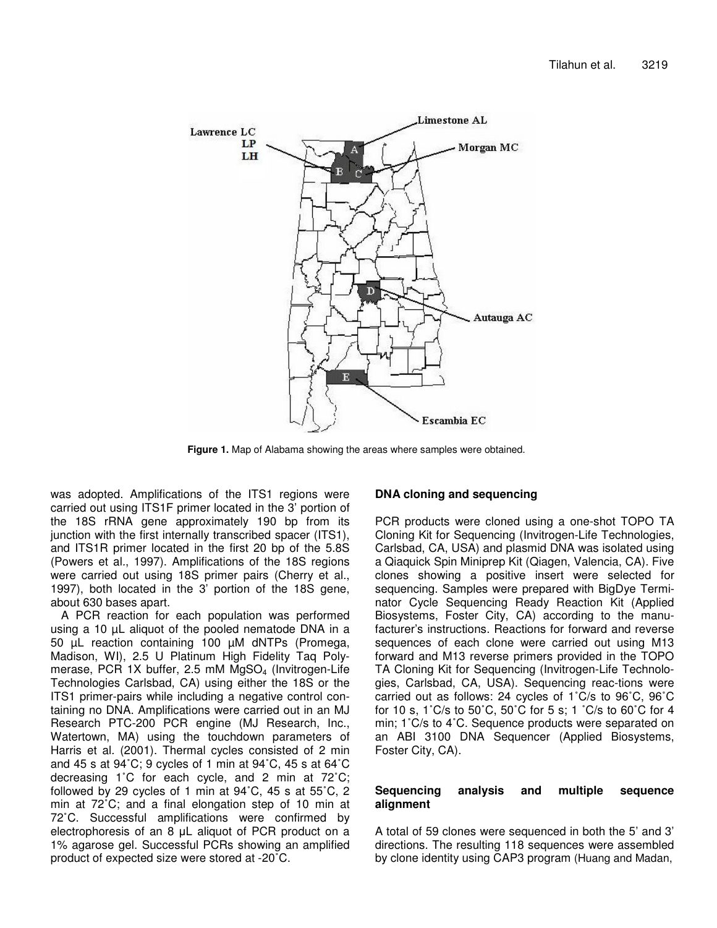

**Figure 1.** Map of Alabama showing the areas where samples were obtained.

was adopted. Amplifications of the ITS1 regions were carried out using ITS1F primer located in the 3' portion of the 18S rRNA gene approximately 190 bp from its junction with the first internally transcribed spacer (ITS1), and ITS1R primer located in the first 20 bp of the 5.8S (Powers et al*.*, 1997). Amplifications of the 18S regions were carried out using 18S primer pairs (Cherry et al*.*, 1997), both located in the 3' portion of the 18S gene, about 630 bases apart.

A PCR reaction for each population was performed using a 10 µL aliquot of the pooled nematode DNA in a 50 µL reaction containing 100 µM dNTPs (Promega, Madison, WI), 2.5 U Platinum High Fidelity Taq Polymerase, PCR 1X buffer, 2.5 mM MgSO<sub>4</sub> (Invitrogen-Life Technologies Carlsbad, CA) using either the 18S or the ITS1 primer-pairs while including a negative control containing no DNA. Amplifications were carried out in an MJ Research PTC-200 PCR engine (MJ Research, Inc., Watertown, MA) using the touchdown parameters of Harris et al*.* (2001). Thermal cycles consisted of 2 min and 45 s at 94˚C; 9 cycles of 1 min at 94˚C, 45 s at 64˚C decreasing 1˚C for each cycle, and 2 min at 72˚C; followed by 29 cycles of 1 min at 94˚C, 45 s at 55˚C, 2 min at 72˚C; and a final elongation step of 10 min at 72˚C. Successful amplifications were confirmed by electrophoresis of an  $8$   $\mu$ L aliquot of PCR product on a 1% agarose gel. Successful PCRs showing an amplified product of expected size were stored at -20˚C.

#### **DNA cloning and sequencing**

PCR products were cloned using a one-shot TOPO TA Cloning Kit for Sequencing (Invitrogen-Life Technologies, Carlsbad, CA, USA) and plasmid DNA was isolated using a Qiaquick Spin Miniprep Kit (Qiagen, Valencia, CA). Five clones showing a positive insert were selected for sequencing. Samples were prepared with BigDye Terminator Cycle Sequencing Ready Reaction Kit (Applied Biosystems, Foster City, CA) according to the manufacturer's instructions. Reactions for forward and reverse sequences of each clone were carried out using M13 forward and M13 reverse primers provided in the TOPO TA Cloning Kit for Sequencing (Invitrogen-Life Technologies, Carlsbad, CA, USA). Sequencing reac-tions were carried out as follows: 24 cycles of 1˚C/s to 96˚C, 96˚C for 10 s, 1˚C/s to 50˚C, 50˚C for 5 s; 1 ˚C/s to 60˚C for 4 min; 1˚C/s to 4˚C. Sequence products were separated on an ABI 3100 DNA Sequencer (Applied Biosystems, Foster City, CA).

### **Sequencing analysis and multiple sequence alignment**

A total of 59 clones were sequenced in both the 5' and 3' directions. The resulting 118 sequences were assembled by clone identity using CAP3 program (Huang and Madan,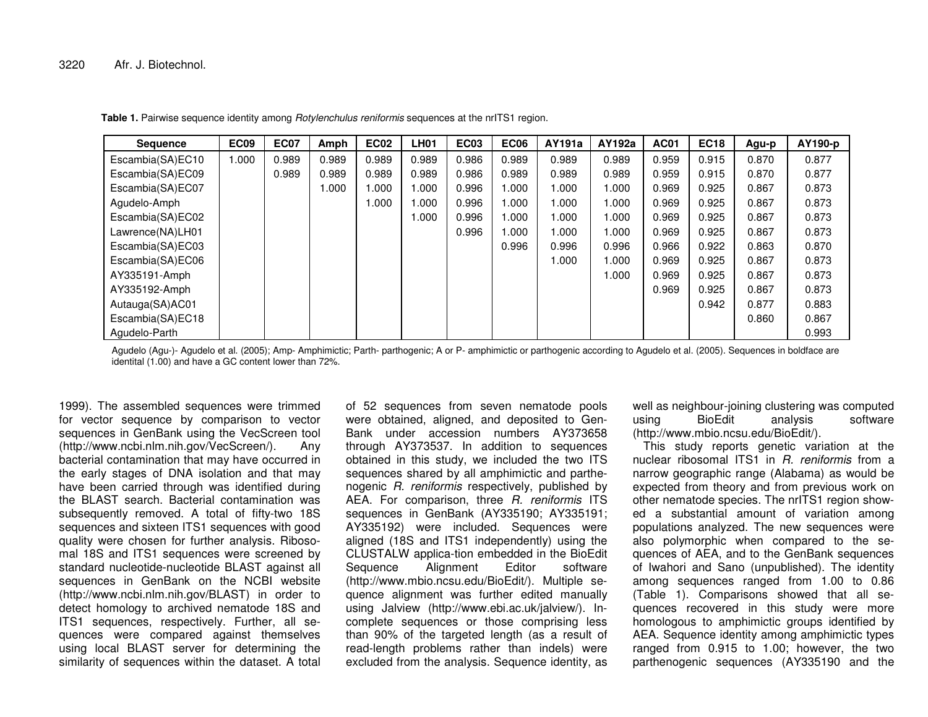| <b>Sequence</b>  | <b>EC09</b> | <b>EC07</b> | Amph  | <b>EC02</b> | <b>LH01</b> | <b>EC03</b> | <b>EC06</b> | AY191a | AY192a | <b>AC01</b> | <b>EC18</b> | Agu-p | AY190-p |
|------------------|-------------|-------------|-------|-------------|-------------|-------------|-------------|--------|--------|-------------|-------------|-------|---------|
| Escambia(SA)EC10 | 1.000       | 0.989       | 0.989 | 0.989       | 0.989       | 0.986       | 0.989       | 0.989  | 0.989  | 0.959       | 0.915       | 0.870 | 0.877   |
| Escambia(SA)EC09 |             | 0.989       | 0.989 | 0.989       | 0.989       | 0.986       | 0.989       | 0.989  | 0.989  | 0.959       | 0.915       | 0.870 | 0.877   |
| Escambia(SA)EC07 |             |             | 1.000 | 000.        | 1.000       | 0.996       | 1.000       | 1.000  | 1.000  | 0.969       | 0.925       | 0.867 | 0.873   |
| Agudelo-Amph     |             |             |       | 1.000       | 1.000       | 0.996       | 1.000       | 1.000  | 1.000  | 0.969       | 0.925       | 0.867 | 0.873   |
| Escambia(SA)EC02 |             |             |       |             | 1.000       | 0.996       | 1.000       | 1.000  | 1.000  | 0.969       | 0.925       | 0.867 | 0.873   |
| Lawrence(NA)LH01 |             |             |       |             |             | 0.996       | 1.000       | 1.000  | 1.000  | 0.969       | 0.925       | 0.867 | 0.873   |
| Escambia(SA)EC03 |             |             |       |             |             |             | 0.996       | 0.996  | 0.996  | 0.966       | 0.922       | 0.863 | 0.870   |
| Escambia(SA)EC06 |             |             |       |             |             |             |             | 1.000  | 1.000  | 0.969       | 0.925       | 0.867 | 0.873   |
| AY335191-Amph    |             |             |       |             |             |             |             |        | 1.000  | 0.969       | 0.925       | 0.867 | 0.873   |
| AY335192-Amph    |             |             |       |             |             |             |             |        |        | 0.969       | 0.925       | 0.867 | 0.873   |
| Autauga(SA)AC01  |             |             |       |             |             |             |             |        |        |             | 0.942       | 0.877 | 0.883   |
| Escambia(SA)EC18 |             |             |       |             |             |             |             |        |        |             |             | 0.860 | 0.867   |
| Agudelo-Parth    |             |             |       |             |             |             |             |        |        |             |             |       | 0.993   |

**Table 1.** Pairwise sequence identity among *Rotylenchulus reniformis* sequences at the nrITS1 region.

Agudelo (Agu-)- Agudelo et al. (2005); Amp- Amphimictic; Parth- parthogenic; A or P- amphimictic or parthogenic according to Agudelo et al. (2005). Sequences in boldface are identital (1.00) and have <sup>a</sup> GC content lower than 72%.

1999). The assembled sequences were trimmed for vector sequence by comparison to vector sequences in GenBank using the VecScreen tool (http://www.ncbi.nlm.nih.gov/VecScreen/). Any bacterial contamination that may have occurred in the early stages of DNA isolation and that may have been carried through was identified during the BLAST search. Bacterial contamination was subsequently removed. A total of fifty-two 18S sequences and sixteen ITS1 sequences with good quality were chosen for further analysis. Ribosomal 18S and ITS1 sequences were screened by standard nucleotide-nucleotide BLAST against all sequences in GenBank on the NCBI website (http://www.ncbi.nlm.nih.gov/BLAST) in order to detect homology to archived nematode 18S and ITS1 sequences, respectively. Further, all sequences were compared against themselves using local BLAST server for determining the similarity of sequences within the dataset. A total

of 52 sequences from seven nematode pools were obtained, aligned, and deposited to Gen-Bank under accession numbers AY373658 through AY373537. In addition to sequences obtained in this study, we included the two ITS sequences shared by all amphimictic and parthenogenic *R. reniformis* respectively, published by AEA. For comparison, three *R. reniformis* ITS sequences in GenBank (AY335190; AY335191; AY335192) were included. Sequences were aligned (18S and ITS1 independently) using the CLUSTALW applica-tion embedded in the BioEdit Sequence Alignment Editor software (http://www.mbio.ncsu.edu/BioEdit/). Multiple sequence alignment was further edited manually using Jalview (http://www.ebi.ac.uk/jalview/). Incomplete sequences or those comprising less than 90% of the targeted length (as <sup>a</sup> result of read-length problems rather than indels) were excluded from the analysis. Sequence identity, as

well as neighbour-joining clustering was computed using BioEdit analysis software (http://www.mbio.ncsu.edu/BioEdit/).

This study reports genetic variation at the nuclear ribosomal ITS1 in *R. reniformis* from a narrow geographic range (Alabama) as would be expected from theory and from previous work on other nematode species. The nrITS1 region showed <sup>a</sup> substantial amount of variation among populations analyzed. The new sequences were also polymorphic when compared to the sequences of AEA, and to the GenBank sequences of Iwahori and Sano (unpublished). The identity among sequences ranged from 1.00 to 0.86 (Table 1). Comparisons showed that all sequences recovered in this study were more homologous to amphimictic groups identified by AEA. Sequence identity among amphimictic types ranged from 0.915 to 1.00; however, the two parthenogenic sequences (AY335190 and the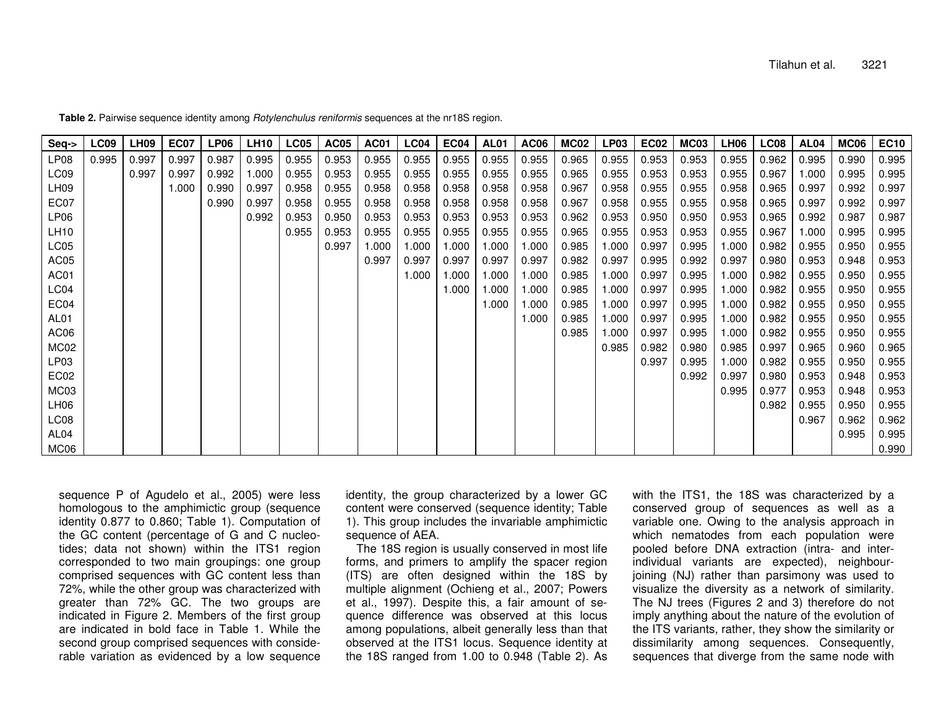| Seq->            | LC09  | LH <sub>09</sub> | EC07  | LP06  | LH10  | LC05  | AC05  | AC01  | LC04  | EC04   | AL01  | AC <sub>06</sub> | MC02  | <b>LP03</b> | EC02  | MC <sub>03</sub> | LH06  | <b>LC08</b> | AL <sub>04</sub> | MC06  | EC <sub>10</sub> |
|------------------|-------|------------------|-------|-------|-------|-------|-------|-------|-------|--------|-------|------------------|-------|-------------|-------|------------------|-------|-------------|------------------|-------|------------------|
| LP <sub>08</sub> | 0.995 | 0.997            | 0.997 | 0.987 | 0.995 | 0.955 | 0.953 | 0.955 | 0.955 | 0.955  | 0.955 | 0.955            | 0.965 | 0.955       | 0.953 | 0.953            | 0.955 | 0.962       | 0.995            | 0.990 | 0.995            |
| LC09             |       | 0.997            | 0.997 | 0.992 | 1.000 | 0.955 | 0.953 | 0.955 | 0.955 | 0.955  | 0.955 | 0.955            | 0.965 | 0.955       | 0.953 | 0.953            | 0.955 | 0.967       | 1.000            | 0.995 | 0.995            |
| LH09             |       |                  | 1.000 | 0.990 | 0.997 | 0.958 | 0.955 | 0.958 | 0.958 | 0.958  | 0.958 | 0.958            | 0.967 | 0.958       | 0.955 | 0.955            | 0.958 | 0.965       | 0.997            | 0.992 | 0.997            |
| EC07             |       |                  |       | 0.990 | 0.997 | 0.958 | 0.955 | 0.958 | 0.958 | 0.958  | 0.958 | 0.958            | 0.967 | 0.958       | 0.955 | 0.955            | 0.958 | 0.965       | 0.997            | 0.992 | 0.997            |
| LP06             |       |                  |       |       | 0.992 | 0.953 | 0.950 | 0.953 | 0.953 | 0.953  | 0.953 | 0.953            | 0.962 | 0.953       | 0.950 | 0.950            | 0.953 | 0.965       | 0.992            | 0.987 | 0.987            |
| LH10             |       |                  |       |       |       | 0.955 | 0.953 | 0.955 | 0.955 | 0.955  | 0.955 | 0.955            | 0.965 | 0.955       | 0.953 | 0.953            | 0.955 | 0.967       | 1.000            | 0.995 | 0.995            |
| LC05             |       |                  |       |       |       |       | 0.997 | 1.000 | 1.000 | 000. ا | 1.000 | 1.000            | 0.985 | 1.000       | 0.997 | 0.995            | 1.000 | 0.982       | 0.955            | 0.950 | 0.955            |
| AC05             |       |                  |       |       |       |       |       | 0.997 | 0.997 | 0.997  | 0.997 | 0.997            | 0.982 | 0.997       | 0.995 | 0.992            | 0.997 | 0.980       | 0.953            | 0.948 | 0.953            |
| AC01             |       |                  |       |       |       |       |       |       | 1.000 | 000. ا | 1.000 | 1.000            | 0.985 | 1.000       | 0.997 | 0.995            | 1.000 | 0.982       | 0.955            | 0.950 | 0.955            |
| LC04             |       |                  |       |       |       |       |       |       |       | 1.000  | 1.000 | 1.000            | 0.985 | 1.000       | 0.997 | 0.995            | 1.000 | 0.982       | 0.955            | 0.950 | 0.955            |
| EC04             |       |                  |       |       |       |       |       |       |       |        | 1.000 | 000.             | 0.985 | 1.000       | 0.997 | 0.995            | 1.000 | 0.982       | 0.955            | 0.950 | 0.955            |
| AL <sub>01</sub> |       |                  |       |       |       |       |       |       |       |        |       | 1.000            | 0.985 | 1.000       | 0.997 | 0.995            | 1.000 | 0.982       | 0.955            | 0.950 | 0.955            |
| AC06             |       |                  |       |       |       |       |       |       |       |        |       |                  | 0.985 | 1.000       | 0.997 | 0.995            | 1.000 | 0.982       | 0.955            | 0.950 | 0.955            |
| MC02             |       |                  |       |       |       |       |       |       |       |        |       |                  |       | 0.985       | 0.982 | 0.980            | 0.985 | 0.997       | 0.965            | 0.960 | 0.965            |
| LP03             |       |                  |       |       |       |       |       |       |       |        |       |                  |       |             | 0.997 | 0.995            | 1.000 | 0.982       | 0.955            | 0.950 | 0.955            |
| EC <sub>02</sub> |       |                  |       |       |       |       |       |       |       |        |       |                  |       |             |       | 0.992            | 0.997 | 0.980       | 0.953            | 0.948 | 0.953            |
| MC03             |       |                  |       |       |       |       |       |       |       |        |       |                  |       |             |       |                  | 0.995 | 0.977       | 0.953            | 0.948 | 0.953            |
| LH06             |       |                  |       |       |       |       |       |       |       |        |       |                  |       |             |       |                  |       | 0.982       | 0.955            | 0.950 | 0.955            |
| LC08             |       |                  |       |       |       |       |       |       |       |        |       |                  |       |             |       |                  |       |             | 0.967            | 0.962 | 0.962            |
| AL04             |       |                  |       |       |       |       |       |       |       |        |       |                  |       |             |       |                  |       |             |                  | 0.995 | 0.995            |
| MC06             |       |                  |       |       |       |       |       |       |       |        |       |                  |       |             |       |                  |       |             |                  |       | 0.990            |

**Table 2.** Pairwise sequence identity among *Rotylenchulus reniformis* sequences at the nr18S region.

sequence P of Agudelo et al., 2005) were less homologous to the amphimictic group (sequence identity 0.877 to 0.860; Table 1). Computation of the GC content (percentage of G and C nucleotides; data not shown) within the ITS1 region corresponded to two main groupings: one group comprised sequences with GC content less than 72%, while the other group was characterized with greater than 72% GC. The two groups are indicated in Figure 2. Members of the first group are indicated in bold face in Table 1. While the second group comprised sequences with considerable variation as evidenced by <sup>a</sup> low sequence

identity, the group characterized by <sup>a</sup> lower GC content were conserved (sequence identity; Table 1). This group includes the invariable amphimictic sequence of AEA.

The 18S region is usually conserved in most life forms, and primers to amplify the spacer region (ITS) are often designed within the 18S by multiple alignment (Ochieng et al*.*, 2007; Powers et al*.*, 1997). Despite this, <sup>a</sup> fair amount of sequence difference was observed at this locus among populations, albeit generally less than that observed at the ITS1 locus. Sequence identity at the 18S ranged from 1.00 to 0.948 (Table 2). As

with the ITS1, the 18S was characterized by <sup>a</sup> conserved group of sequences as well as <sup>a</sup> variable one. Owing to the analysis approach in which nematodes from each population were pooled before DNA extraction (intra- and interindividual variants are expected), neighbourjoining (NJ) rather than parsimony was used to visualize the diversity as <sup>a</sup> network of similarity. The NJ trees (Figures 2 and 3) therefore do not imply anything about the nature of the evolution of the ITS variants, rather, they show the similarity or dissimilarity among sequences. Consequently, sequences that diverge from the same node with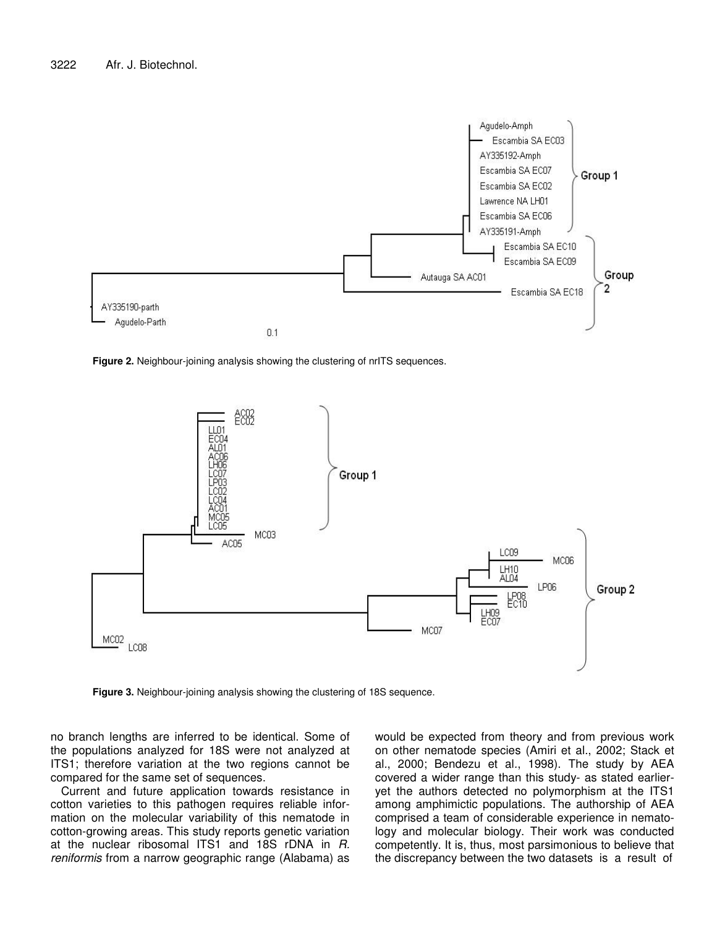

**Figure 2.** Neighbour-joining analysis showing the clustering of nrITS sequences.



**Figure 3.** Neighbour-joining analysis showing the clustering of 18S sequence.

no branch lengths are inferred to be identical. Some of the populations analyzed for 18S were not analyzed at ITS1; therefore variation at the two regions cannot be compared for the same set of sequences.

Current and future application towards resistance in cotton varieties to this pathogen requires reliable information on the molecular variability of this nematode in cotton-growing areas. This study reports genetic variation at the nuclear ribosomal ITS1 and 18S rDNA in *R. reniformis* from a narrow geographic range (Alabama) as would be expected from theory and from previous work on other nematode species (Amiri et al*.*, 2002; Stack et al*.*, 2000; Bendezu et al*.*, 1998). The study by AEA covered a wider range than this study- as stated earlieryet the authors detected no polymorphism at the ITS1 among amphimictic populations. The authorship of AEA comprised a team of considerable experience in nematology and molecular biology. Their work was conducted competently. It is, thus, most parsimonious to believe that the discrepancy between the two datasets is a result of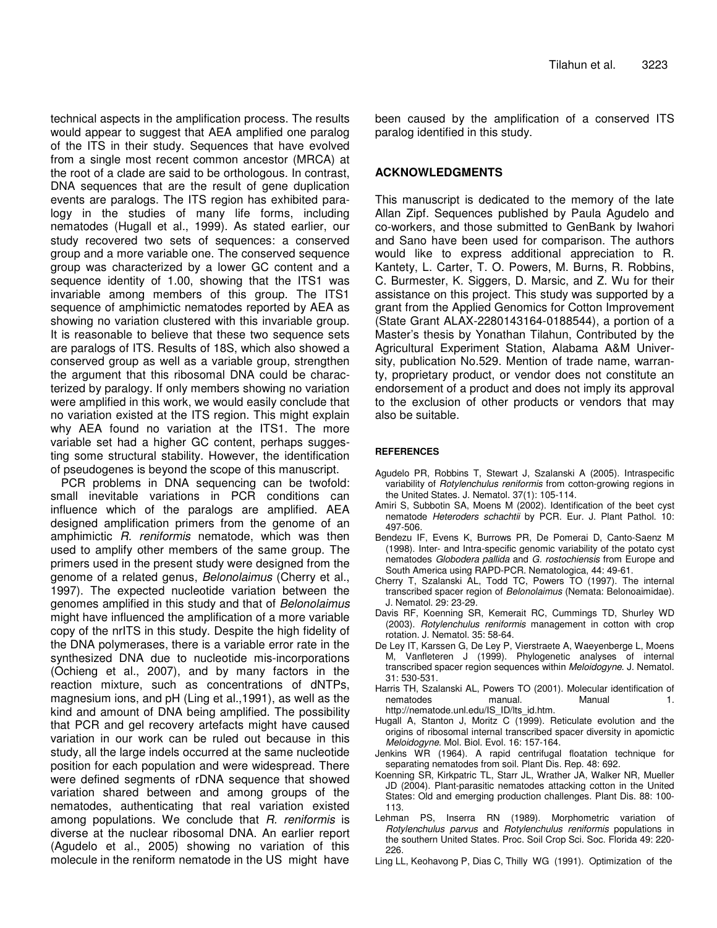technical aspects in the amplification process. The results would appear to suggest that AEA amplified one paralog of the ITS in their study. Sequences that have evolved from a single most recent common ancestor (MRCA) at the root of a clade are said to be orthologous. In contrast, DNA sequences that are the result of gene duplication events are paralogs. The ITS region has exhibited paralogy in the studies of many life forms, including nematodes (Hugall et al*.*, 1999). As stated earlier, our study recovered two sets of sequences: a conserved group and a more variable one. The conserved sequence group was characterized by a lower GC content and a sequence identity of 1.00, showing that the ITS1 was invariable among members of this group. The ITS1 sequence of amphimictic nematodes reported by AEA as showing no variation clustered with this invariable group. It is reasonable to believe that these two sequence sets are paralogs of ITS. Results of 18S, which also showed a conserved group as well as a variable group, strengthen the argument that this ribosomal DNA could be characterized by paralogy. If only members showing no variation were amplified in this work, we would easily conclude that no variation existed at the ITS region. This might explain why AEA found no variation at the ITS1. The more variable set had a higher GC content, perhaps suggesting some structural stability. However, the identification of pseudogenes is beyond the scope of this manuscript.

PCR problems in DNA sequencing can be twofold: small inevitable variations in PCR conditions can influence which of the paralogs are amplified. AEA designed amplification primers from the genome of an amphimictic *R. reniformis* nematode, which was then used to amplify other members of the same group. The primers used in the present study were designed from the genome of a related genus, *Belonolaimus* (Cherry et al*.*, 1997). The expected nucleotide variation between the genomes amplified in this study and that of *Belonolaimus* might have influenced the amplification of a more variable copy of the nrITS in this study. Despite the high fidelity of the DNA polymerases, there is a variable error rate in the synthesized DNA due to nucleotide mis-incorporations (Ochieng et al*.*, 2007), and by many factors in the reaction mixture, such as concentrations of dNTPs, magnesium ions, and pH (Ling et al*.*,1991), as well as the kind and amount of DNA being amplified. The possibility that PCR and gel recovery artefacts might have caused variation in our work can be ruled out because in this study, all the large indels occurred at the same nucleotide position for each population and were widespread. There were defined segments of rDNA sequence that showed variation shared between and among groups of the nematodes, authenticating that real variation existed among populations. We conclude that *R. reniformis* is diverse at the nuclear ribosomal DNA. An earlier report (Agudelo et al*.*, 2005) showing no variation of this molecule in the reniform nematode in the US might have

been caused by the amplification of a conserved ITS paralog identified in this study.

## **ACKNOWLEDGMENTS**

This manuscript is dedicated to the memory of the late Allan Zipf. Sequences published by Paula Agudelo and co-workers, and those submitted to GenBank by Iwahori and Sano have been used for comparison. The authors would like to express additional appreciation to R. Kantety, L. Carter, T. O. Powers, M. Burns, R. Robbins, C. Burmester, K. Siggers, D. Marsic, and Z. Wu for their assistance on this project. This study was supported by a grant from the Applied Genomics for Cotton Improvement (State Grant ALAX-2280143164-0188544), a portion of a Master's thesis by Yonathan Tilahun, Contributed by the Agricultural Experiment Station, Alabama A&M University, publication No.529. Mention of trade name, warranty, proprietary product, or vendor does not constitute an endorsement of a product and does not imply its approval to the exclusion of other products or vendors that may also be suitable.

## **REFERENCES**

- Agudelo PR, Robbins T, Stewart J, Szalanski A (2005). Intraspecific variability of *Rotylenchulus reniformis* from cotton-growing regions in the United States. J. Nematol. 37(1): 105-114.
- Amiri S, Subbotin SA, Moens M (2002). Identification of the beet cyst nematode *Heteroders schachtii* by PCR. Eur. J. Plant Pathol. 10: 497-506.
- Bendezu IF, Evens K, Burrows PR, De Pomerai D, Canto-Saenz M (1998). Inter- and Intra-specific genomic variability of the potato cyst nematodes *Globodera pallida* and *G. rostochiensis* from Europe and South America using RAPD-PCR. Nematologica, 44: 49-61.
- Cherry T, Szalanski AL, Todd TC, Powers TO (1997). The internal transcribed spacer region of *Belonolaimus* (Nemata: Belonoaimidae). J. Nematol. 29: 23-29.
- Davis RF, Koenning SR, Kemerait RC, Cummings TD, Shurley WD (2003). *Rotylenchulus reniformis* management in cotton with crop rotation. J. Nematol. 35: 58-64.
- De Ley IT, Karssen G, De Ley P, Vierstraete A, Waeyenberge L, Moens M, Vanfleteren J (1999). Phylogenetic analyses of internal transcribed spacer region sequences within *Meloidogyne*. J. Nematol. 31: 530-531.
- Harris TH, Szalanski AL, Powers TO (2001). Molecular identification of nematodes manual. Manual 1. http://nematode.unl.edu/IS\_ID/lts\_id.htm.
- Hugall A, Stanton J, Moritz C (1999). Reticulate evolution and the origins of ribosomal internal transcribed spacer diversity in apomictic *Meloidogyne*. Mol. Biol. Evol. 16: 157-164.
- Jenkins WR (1964). A rapid centrifugal floatation technique for separating nematodes from soil. Plant Dis. Rep. 48: 692.
- Koenning SR, Kirkpatric TL, Starr JL, Wrather JA, Walker NR, Mueller JD (2004). Plant-parasitic nematodes attacking cotton in the United States: Old and emerging production challenges. Plant Dis. 88: 100- 113.
- Lehman PS, Inserra RN (1989). Morphometric variation of *Rotylenchulus parvus* and *Rotylenchulus reniformis* populations in the southern United States. Proc. Soil Crop Sci. Soc. Florida 49: 220- 226.
- Ling LL, Keohavong P, Dias C, Thilly WG (1991). Optimization of the